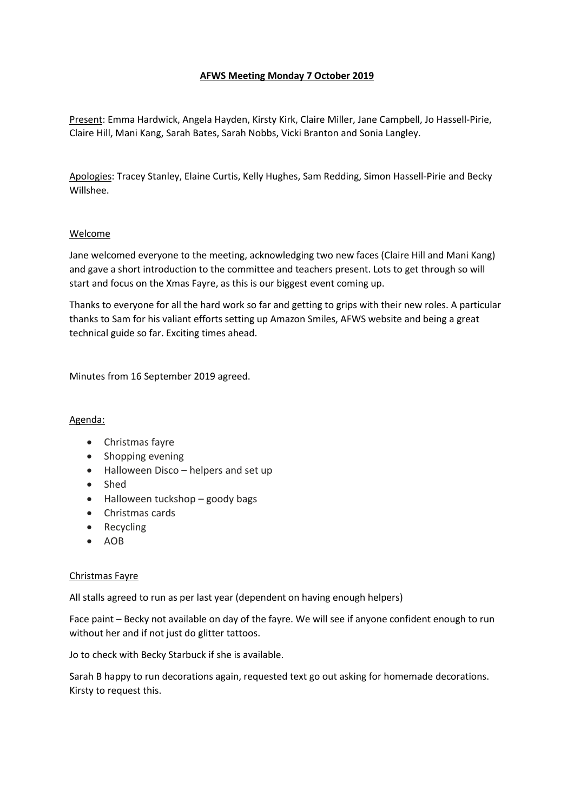# **AFWS Meeting Monday 7 October 2019**

Present: Emma Hardwick, Angela Hayden, Kirsty Kirk, Claire Miller, Jane Campbell, Jo Hassell-Pirie, Claire Hill, Mani Kang, Sarah Bates, Sarah Nobbs, Vicki Branton and Sonia Langley.

Apologies: Tracey Stanley, Elaine Curtis, Kelly Hughes, Sam Redding, Simon Hassell-Pirie and Becky Willshee.

## Welcome

Jane welcomed everyone to the meeting, acknowledging two new faces (Claire Hill and Mani Kang) and gave a short introduction to the committee and teachers present. Lots to get through so will start and focus on the Xmas Fayre, as this is our biggest event coming up.

Thanks to everyone for all the hard work so far and getting to grips with their new roles. A particular thanks to Sam for his valiant efforts setting up Amazon Smiles, AFWS website and being a great technical guide so far. Exciting times ahead.

Minutes from 16 September 2019 agreed.

## Agenda:

- Christmas fayre
- Shopping evening
- Halloween Disco helpers and set up
- Shed
- $\bullet$  Halloween tuckshop goody bags
- Christmas cards
- Recycling
- $\bullet$  AOB

## Christmas Fayre

All stalls agreed to run as per last year (dependent on having enough helpers)

Face paint – Becky not available on day of the fayre. We will see if anyone confident enough to run without her and if not just do glitter tattoos.

Jo to check with Becky Starbuck if she is available.

Sarah B happy to run decorations again, requested text go out asking for homemade decorations. Kirsty to request this.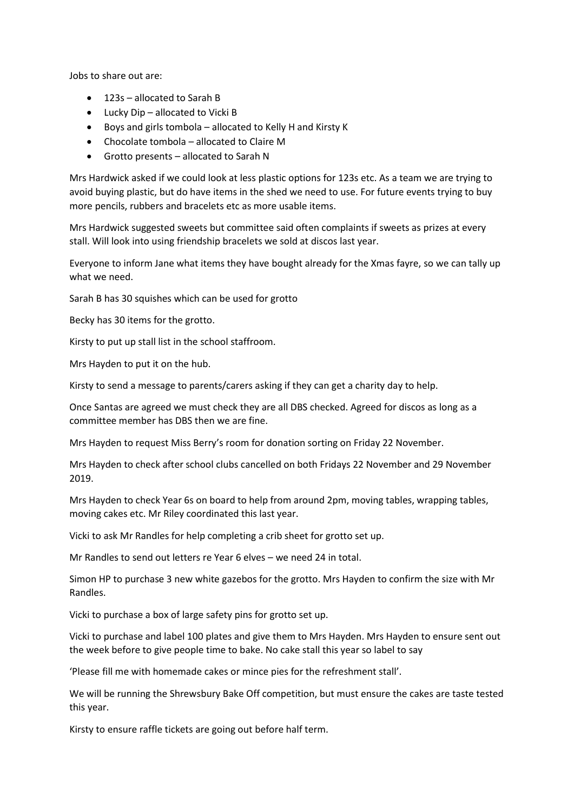Jobs to share out are:

- 123s allocated to Sarah B
- Lucky Dip allocated to Vicki B
- Boys and girls tombola allocated to Kelly H and Kirsty K
- Chocolate tombola allocated to Claire M
- Grotto presents allocated to Sarah N

Mrs Hardwick asked if we could look at less plastic options for 123s etc. As a team we are trying to avoid buying plastic, but do have items in the shed we need to use. For future events trying to buy more pencils, rubbers and bracelets etc as more usable items.

Mrs Hardwick suggested sweets but committee said often complaints if sweets as prizes at every stall. Will look into using friendship bracelets we sold at discos last year.

Everyone to inform Jane what items they have bought already for the Xmas fayre, so we can tally up what we need.

Sarah B has 30 squishes which can be used for grotto

Becky has 30 items for the grotto.

Kirsty to put up stall list in the school staffroom.

Mrs Hayden to put it on the hub.

Kirsty to send a message to parents/carers asking if they can get a charity day to help.

Once Santas are agreed we must check they are all DBS checked. Agreed for discos as long as a committee member has DBS then we are fine.

Mrs Hayden to request Miss Berry's room for donation sorting on Friday 22 November.

Mrs Hayden to check after school clubs cancelled on both Fridays 22 November and 29 November 2019.

Mrs Hayden to check Year 6s on board to help from around 2pm, moving tables, wrapping tables, moving cakes etc. Mr Riley coordinated this last year.

Vicki to ask Mr Randles for help completing a crib sheet for grotto set up.

Mr Randles to send out letters re Year 6 elves – we need 24 in total.

Simon HP to purchase 3 new white gazebos for the grotto. Mrs Hayden to confirm the size with Mr Randles.

Vicki to purchase a box of large safety pins for grotto set up.

Vicki to purchase and label 100 plates and give them to Mrs Hayden. Mrs Hayden to ensure sent out the week before to give people time to bake. No cake stall this year so label to say

'Please fill me with homemade cakes or mince pies for the refreshment stall'.

We will be running the Shrewsbury Bake Off competition, but must ensure the cakes are taste tested this year.

Kirsty to ensure raffle tickets are going out before half term.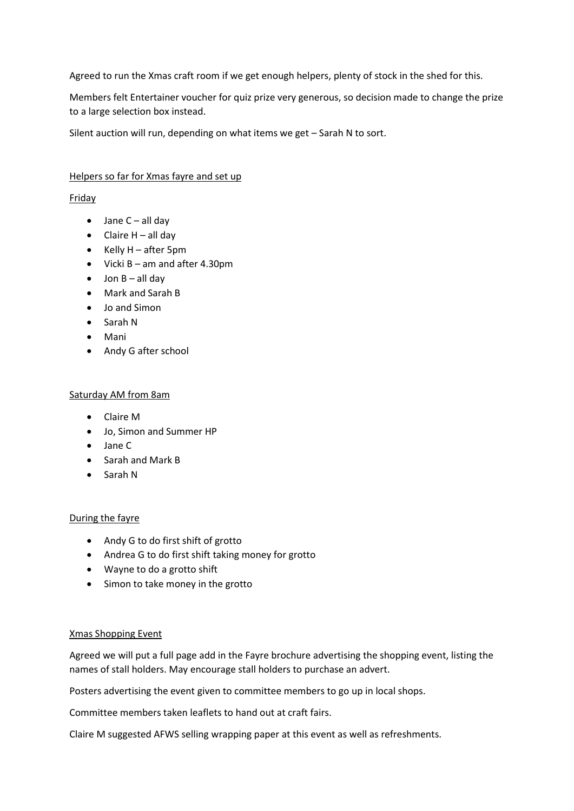Agreed to run the Xmas craft room if we get enough helpers, plenty of stock in the shed for this.

Members felt Entertainer voucher for quiz prize very generous, so decision made to change the prize to a large selection box instead.

Silent auction will run, depending on what items we get – Sarah N to sort.

# Helpers so far for Xmas fayre and set up

# Friday

- $\bullet$  Jane C all day
- $\bullet$  Claire H all day
- $\bullet$  Kelly H after 5pm
- $\bullet$  Vicki B am and after 4.30pm
- $\bullet$  Jon B all day
- Mark and Sarah B
- Jo and Simon
- Sarah N
- Mani
- Andy G after school

# Saturday AM from 8am

- Claire M
- Jo, Simon and Summer HP
- Jane C
- **Sarah and Mark B**
- Sarah N

## During the fayre

- Andy G to do first shift of grotto
- Andrea G to do first shift taking money for grotto
- Wayne to do a grotto shift
- Simon to take money in the grotto

## Xmas Shopping Event

Agreed we will put a full page add in the Fayre brochure advertising the shopping event, listing the names of stall holders. May encourage stall holders to purchase an advert.

Posters advertising the event given to committee members to go up in local shops.

Committee members taken leaflets to hand out at craft fairs.

Claire M suggested AFWS selling wrapping paper at this event as well as refreshments.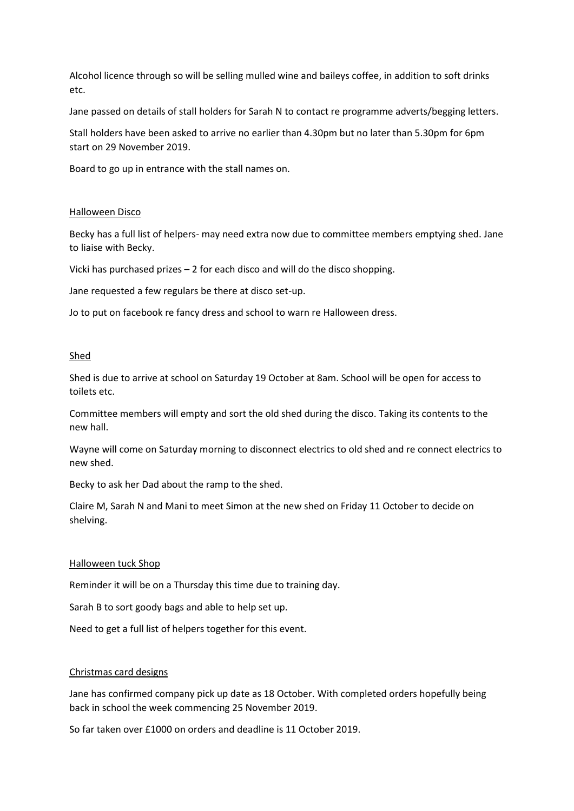Alcohol licence through so will be selling mulled wine and baileys coffee, in addition to soft drinks etc.

Jane passed on details of stall holders for Sarah N to contact re programme adverts/begging letters.

Stall holders have been asked to arrive no earlier than 4.30pm but no later than 5.30pm for 6pm start on 29 November 2019.

Board to go up in entrance with the stall names on.

#### Halloween Disco

Becky has a full list of helpers- may need extra now due to committee members emptying shed. Jane to liaise with Becky.

Vicki has purchased prizes – 2 for each disco and will do the disco shopping.

Jane requested a few regulars be there at disco set-up.

Jo to put on facebook re fancy dress and school to warn re Halloween dress.

#### Shed

Shed is due to arrive at school on Saturday 19 October at 8am. School will be open for access to toilets etc.

Committee members will empty and sort the old shed during the disco. Taking its contents to the new hall.

Wayne will come on Saturday morning to disconnect electrics to old shed and re connect electrics to new shed.

Becky to ask her Dad about the ramp to the shed.

Claire M, Sarah N and Mani to meet Simon at the new shed on Friday 11 October to decide on shelving.

#### Halloween tuck Shop

Reminder it will be on a Thursday this time due to training day.

Sarah B to sort goody bags and able to help set up.

Need to get a full list of helpers together for this event.

## Christmas card designs

Jane has confirmed company pick up date as 18 October. With completed orders hopefully being back in school the week commencing 25 November 2019.

So far taken over £1000 on orders and deadline is 11 October 2019.